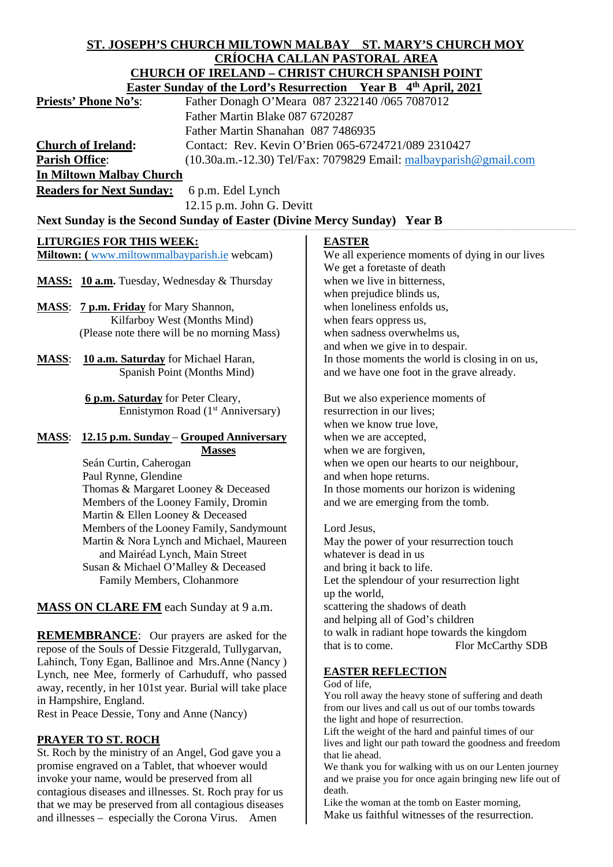#### **ST. JOSEPH'S CHURCH MILTOWN MALBAY ST. MARY'S CHURCH MOY CRÍOCHA CALLAN PASTORAL AREA CHURCH OF IRELAND – CHRIST CHURCH SPANISH POINT Easter Sunday of the Lord's Resurrection Year B 4th April, 2021 Priests' Phone No's:** Father Donagh O'Meara 087 2322140 /065 7087012 Father Martin Blake 087 6720287 Father Martin Shanahan 087 7486935 **Church of Ireland:** Contact: Rev. Kevin O'Brien 065-6724721/089 2310427 **Parish Office:** (10.30a.m.-12.30) Tel/Fax: 7079829 Email: [malbayparish@gmail.com](mailto:malbayparish@gmail.com) **In Miltown Malbay Church Readers for Next Sunday:** 6 p.m. Edel Lynch 12.15 p.m. John G. Devitt Next Sunday is the Second Sunday of Easter (Divine Mercy Sunday) Year B **LITURGIES FOR THIS WEEK: Miltown: (** [www.miltownmalbayparish.ie](http://www.miltownmalbayparish.ie/) webcam) **MASS: 10 a.m.** Tuesday, Wednesday & Thursday **MASS**: **7 p.m. Friday** for Mary Shannon, Kilfarboy West (Months Mind) (Please note there will be no morning Mass) **MASS**: **10 a.m. Saturday** for Michael Haran, Spanish Point (Months Mind) **6 p.m. Saturday** for Peter Cleary, Ennistymon Road (1<sup>st</sup> Anniversary) **MASS**: **12.15 p.m. Sunday** – **Grouped Anniversary Masses** Seán Curtin, Caherogan Paul Rynne, Glendine Thomas & Margaret Looney & Deceased Members of the Looney Family, Dromin Martin & Ellen Looney & Deceased Members of the Looney Family, Sandymount Martin & Nora Lynch and Michael, Maureen and Mairéad Lynch, Main Street Susan & Michael O'Malley & Deceased Family Members, Clohanmore **MASS ON CLARE FM** each Sunday at 9 a.m. **REMEMBRANCE:** Our prayers are asked for the repose of the Souls of Dessie Fitzgerald, Tullygarvan, Lahinch, Tony Egan, Ballinoe and Mrs.Anne (Nancy ) Lynch, nee Mee, formerly of Carhuduff, who passed away, recently, in her 101st year. Burial will take place in Hampshire, England. Rest in Peace Dessie, Tony and Anne (Nancy) **PRAYER TO ST. ROCH** St. Roch by the ministry of an Angel, God gave you a promise engraved on a Tablet, that whoever would invoke your name, would be preserved from all contagious diseases and illnesses. St. Roch pray for us that we may be preserved from all contagious diseases **EASTER** We all experience moments of dying in our lives We get a foretaste of death when we live in bitterness, when prejudice blinds us, when loneliness enfolds us, when fears oppress us, when sadness overwhelms us, and when we give in to despair. In those moments the world is closing in on us, and we have one foot in the grave already. But we also experience moments of resurrection in our lives; when we know true love, when we are accepted, when we are forgiven, when we open our hearts to our neighbour, and when hope returns. In those moments our horizon is widening and we are emerging from the tomb. Lord Jesus, May the power of your resurrection touch whatever is dead in us and bring it back to life. Let the splendour of your resurrection light up the world, scattering the shadows of death and helping all of God's children to walk in radiant hope towards the kingdom that is to come. Flor McCarthy SDB **EASTER REFLECTION**  God of life, You roll away the heavy stone of suffering and death from our lives and call us out of our tombs towards the light and hope of resurrection. Lift the weight of the hard and painful times of our lives and light our path toward the goodness and freedom that lie ahead. We thank you for walking with us on our Lenten journey and we praise you for once again bringing new life out of death. Like the woman at the tomb on Easter morning,

and illnesses – especially the Corona Virus. Amen

Make us faithful witnesses of the resurrection.